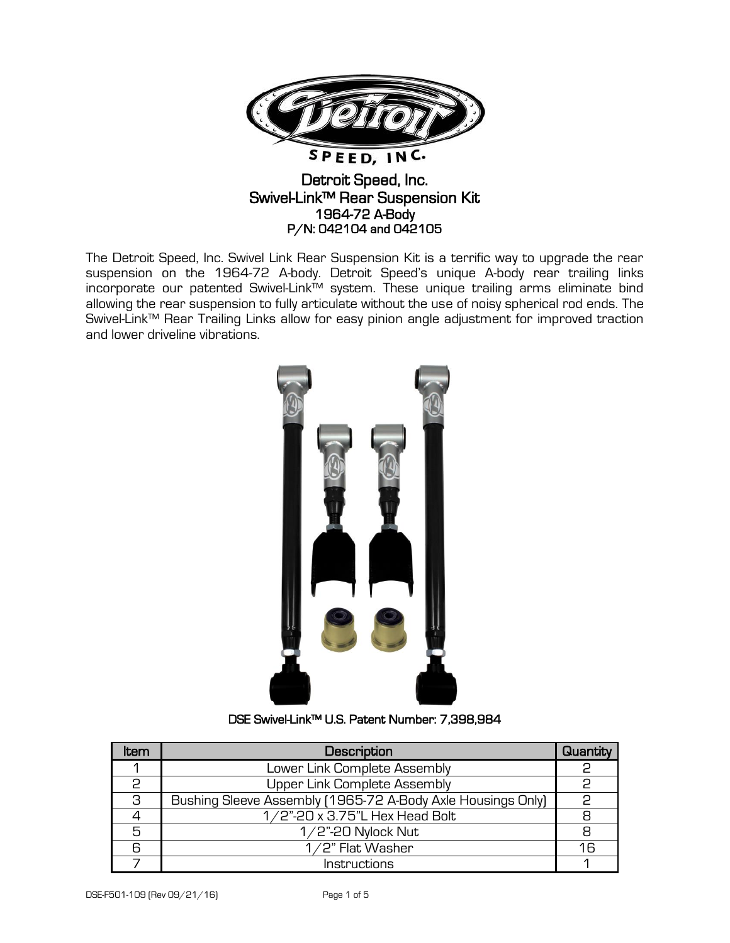

## Detroit Speed, Inc. Swivel-Link™ Rear Suspension Kit 1964-72 A-Body P/N: 042104 and 042105

The Detroit Speed, Inc. Swivel Link Rear Suspension Kit is a terrific way to upgrade the rear suspension on the 1964-72 A-body. Detroit Speed's unique A-body rear trailing links incorporate our patented Swivel-Link™ system. These unique trailing arms eliminate bind allowing the rear suspension to fully articulate without the use of noisy spherical rod ends. The Swivel-Link™ Rear Trailing Links allow for easy pinion angle adjustment for improved traction and lower driveline vibrations.



## DSE Swivel-Link™ U.S. Patent Number: 7,398,984

| ltem         | Description                                                 | Quantity |
|--------------|-------------------------------------------------------------|----------|
|              | Lower Link Complete Assembly                                | 2        |
| $\mathsf{P}$ | Upper Link Complete Assembly                                |          |
| 3            | Bushing Sleeve Assembly (1965-72 A-Body Axle Housings Only) | င္       |
|              | 1/2"-20 x 3.75"L Hex Head Bolt                              |          |
| 5            | $1/2$ "-20 Nylock Nut                                       | 8        |
|              | 1/2" Flat Washer                                            | 16       |
|              | Instructions                                                |          |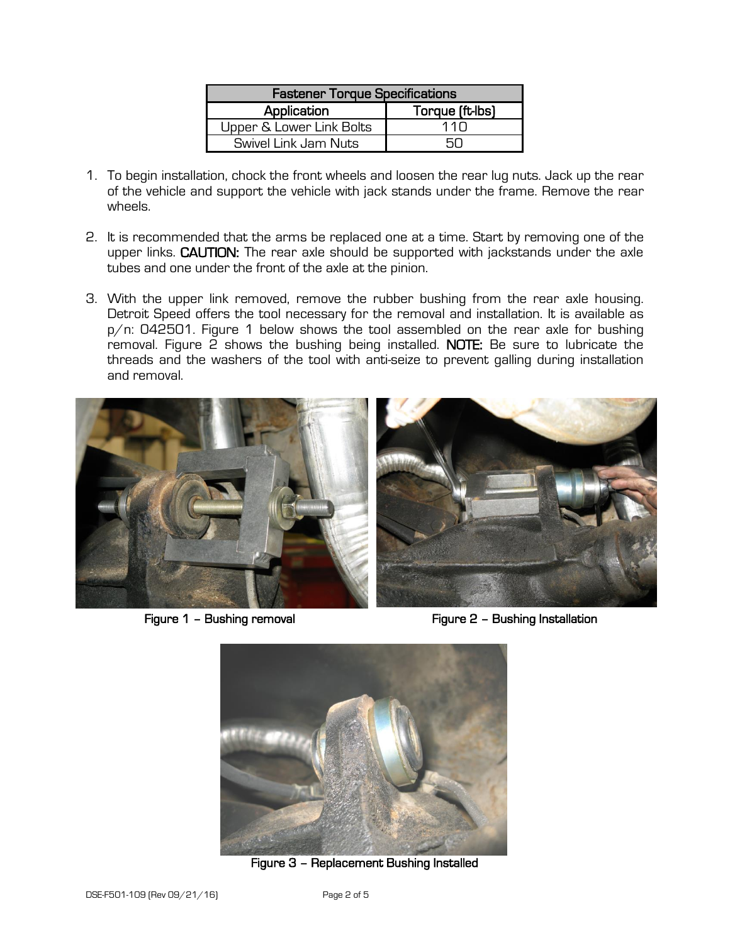| <b>Fastener Torque Specifications</b> |                 |  |  |
|---------------------------------------|-----------------|--|--|
| Application                           | Torque (ft-lbs) |  |  |
| Upper & Lower Link Bolts              | 11 N            |  |  |
| Swivel Link Jam Nuts                  |                 |  |  |

- 1. To begin installation, chock the front wheels and loosen the rear lug nuts. Jack up the rear of the vehicle and support the vehicle with jack stands under the frame. Remove the rear wheels.
- 2. It is recommended that the arms be replaced one at a time. Start by removing one of the upper links. CAUTION: The rear axle should be supported with jackstands under the axle tubes and one under the front of the axle at the pinion.
- 3. With the upper link removed, remove the rubber bushing from the rear axle housing. Detroit Speed offers the tool necessary for the removal and installation. It is available as p/n: 042501. Figure 1 below shows the tool assembled on the rear axle for bushing removal. Figure 2 shows the bushing being installed. NOTE: Be sure to lubricate the threads and the washers of the tool with anti-seize to prevent galling during installation and removal.



Figure 1 – Bushing removal **Figure 2 – Bushing Installation** 



Figure 3 – Replacement Bushing Installed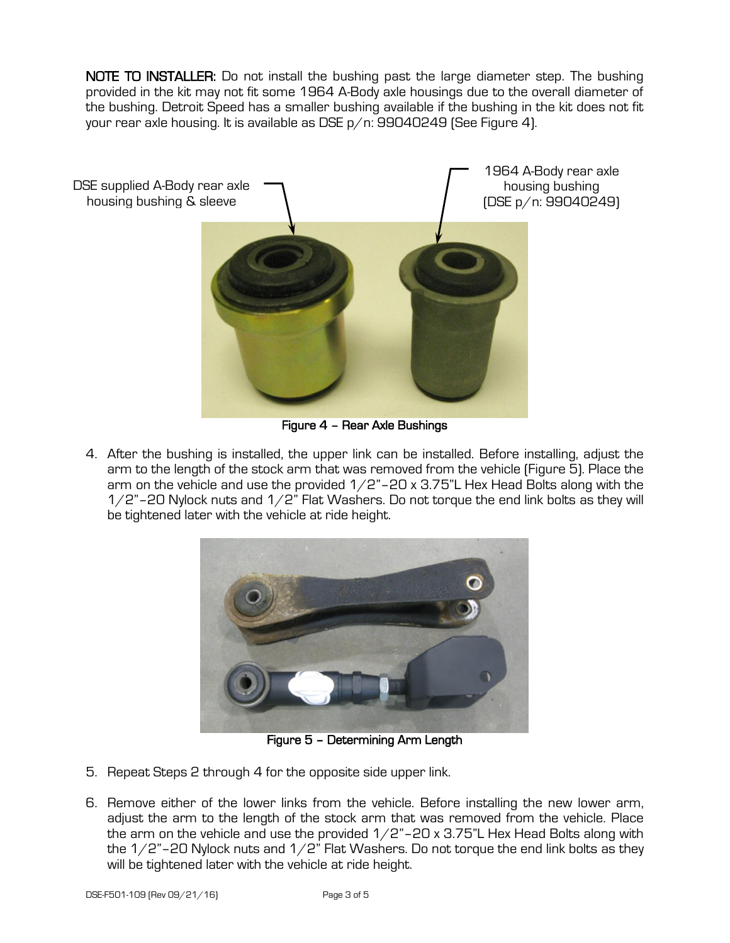NOTE TO INSTALLER: Do not install the bushing past the large diameter step. The bushing provided in the kit may not fit some 1964 A-Body axle housings due to the overall diameter of the bushing. Detroit Speed has a smaller bushing available if the bushing in the kit does not fit your rear axle housing. It is available as DSE p/n: 99040249 (See Figure 4).



Figure 4 – Rear Axle Bushings

4. After the bushing is installed, the upper link can be installed. Before installing, adjust the arm to the length of the stock arm that was removed from the vehicle (Figure 5). Place the arm on the vehicle and use the provided  $1/2$ "-20 x 3.75"L Hex Head Bolts along with the  $1/2$ "-20 Nylock nuts and  $1/2$ " Flat Washers. Do not torque the end link bolts as they will be tightened later with the vehicle at ride height.



Figure 5 – Determining Arm Length

- 5. Repeat Steps 2 through 4 for the opposite side upper link.
- 6. Remove either of the lower links from the vehicle. Before installing the new lower arm, adjust the arm to the length of the stock arm that was removed from the vehicle. Place the arm on the vehicle and use the provided  $1/2$ "-20 x 3.75"L Hex Head Bolts along with the  $1/2$ "–20 Nylock nuts and  $1/2$ " Flat Washers. Do not torque the end link bolts as they will be tightened later with the vehicle at ride height.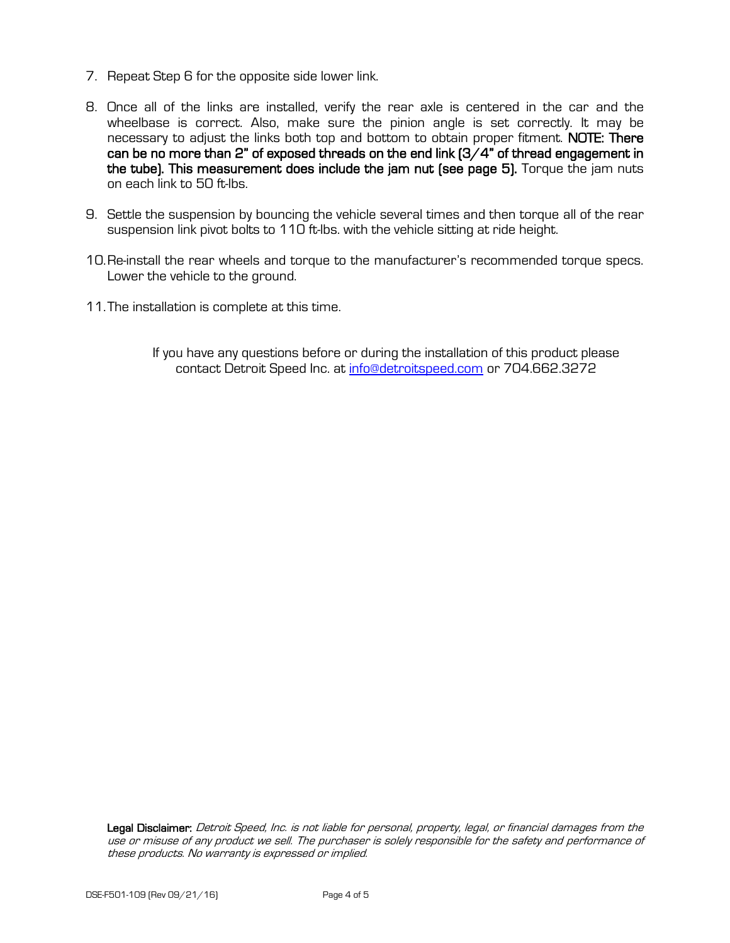- 7. Repeat Step 6 for the opposite side lower link.
- 8. Once all of the links are installed, verify the rear axle is centered in the car and the wheelbase is correct. Also, make sure the pinion angle is set correctly. It may be necessary to adjust the links both top and bottom to obtain proper fitment. NOTE: There can be no more than 2" of exposed threads on the end link (3/4" of thread engagement in the tube). This measurement does include the jam nut (see page 5). Torque the jam nuts on each link to 50 ft-lbs.
- 9. Settle the suspension by bouncing the vehicle several times and then torque all of the rear suspension link pivot bolts to 110 ft-lbs. with the vehicle sitting at ride height.
- 10.Re-install the rear wheels and torque to the manufacturer's recommended torque specs. Lower the vehicle to the ground.
- 11.The installation is complete at this time.
	- If you have any questions before or during the installation of this product please contact Detroit Speed Inc. at [info@detroitspeed.com](mailto:info@detroitspeed.com) or 704.662.3272

Legal Disclaimer: Detroit Speed, Inc. is not liable for personal, property, legal, or financial damages from the use or misuse of any product we sell. The purchaser is solely responsible for the safety and performance of these products. No warranty is expressed or implied.